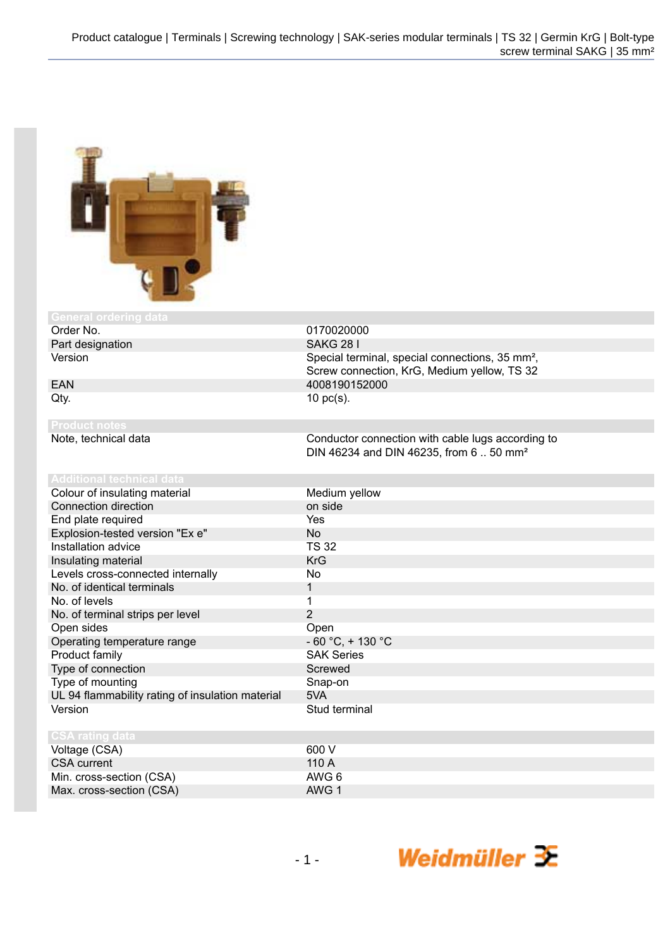

## **General ordering<br>Order No.**

Part designation SAKG 28 I Version **Special terminal, special connections**, 35 mm<sup>2</sup>,

EAN 4008190152000

**Product notes**

 $Qty.$  10 pc(s). Conductor connection with cable lugs according to

DIN 46234 and DIN 46235, from 6 .. 50 mm²

Screw connection, KrG, Medium yellow, TS 32

| Auuntonal teoningal uata                         |                     |
|--------------------------------------------------|---------------------|
| Colour of insulating material                    | Medium yellow       |
| Connection direction                             | on side             |
| End plate required                               | Yes                 |
| Explosion-tested version "Ex e"                  | No.                 |
| Installation advice                              | <b>TS 32</b>        |
| Insulating material                              | <b>KrG</b>          |
| Levels cross-connected internally                | No                  |
| No. of identical terminals                       | 1                   |
| No. of levels                                    | 1                   |
| No. of terminal strips per level                 | $\overline{2}$      |
| Open sides                                       | Open                |
| Operating temperature range                      | $-60 °C$ , + 130 °C |
| Product family                                   | <b>SAK Series</b>   |
| Type of connection                               | Screwed             |
| Type of mounting                                 | Snap-on             |
| UL 94 flammability rating of insulation material | 5VA                 |
| Version                                          | Stud terminal       |
|                                                  |                     |
| <b>CSA rating data</b>                           |                     |
| Voltage (CSA)                                    | 600 V               |
| <b>CSA</b> current                               | 110 A               |
| Min. cross-section (CSA)                         | AWG 6               |
| Max. cross-section (CSA)                         | AWG 1               |

0170020000

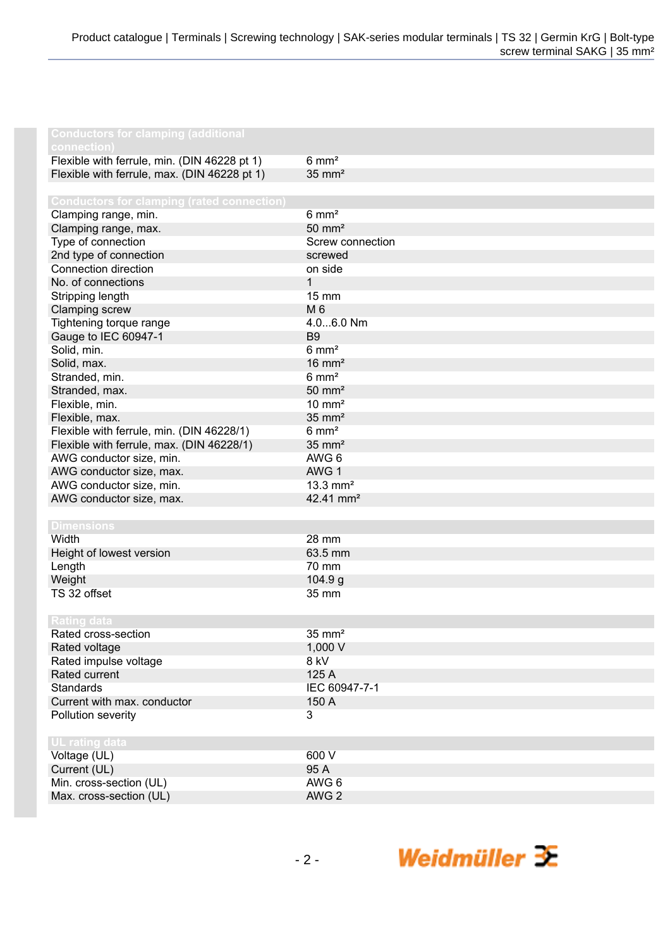| <b>Conductors for clamping (additional</b><br>connection) |                       |
|-----------------------------------------------------------|-----------------------|
| Flexible with ferrule, min. (DIN 46228 pt 1)              | $6 \text{ mm}^2$      |
| Flexible with ferrule, max. (DIN 46228 pt 1)              | $35 \text{ mm}^2$     |
|                                                           |                       |
| <b>Conductors for clamping (rated connection)</b>         |                       |
| Clamping range, min.                                      | $6 \text{ mm}^2$      |
| Clamping range, max.                                      | $50 \text{ mm}^2$     |
| Type of connection                                        | Screw connection      |
| 2nd type of connection                                    | screwed               |
| Connection direction                                      | on side               |
| No. of connections                                        | $\mathbf{1}$          |
| Stripping length                                          | 15 mm                 |
| Clamping screw                                            | M 6                   |
| Tightening torque range                                   | 4.06.0 Nm             |
| Gauge to IEC 60947-1                                      | B <sub>9</sub>        |
| Solid, min.                                               | $6 \text{ mm}^2$      |
| Solid, max.                                               | $16 \text{ mm}^2$     |
| Stranded, min.                                            | $6 \text{ mm}^2$      |
| Stranded, max.                                            | $50 \text{ mm}^2$     |
| Flexible, min.                                            | $10 \text{ mm}^2$     |
| Flexible, max.                                            | $35 \text{ mm}^2$     |
| Flexible with ferrule, min. (DIN 46228/1)                 | $6 \text{ mm}^2$      |
| Flexible with ferrule, max. (DIN 46228/1)                 | $35 \text{ mm}^2$     |
| AWG conductor size, min.                                  | AWG 6                 |
| AWG conductor size, max.                                  | AWG 1                 |
| AWG conductor size, min.                                  | $13.3 \text{ mm}^2$   |
| AWG conductor size, max.                                  | 42.41 mm <sup>2</sup> |
|                                                           |                       |
| <b>Dimensions</b>                                         |                       |
| Width                                                     | 28 mm                 |
| Height of lowest version                                  | 63.5 mm               |
| Length                                                    | 70 mm                 |
| Weight                                                    | 104.9 g               |
| TS 32 offset                                              | 35 mm                 |
|                                                           |                       |
| <b>Rating data</b>                                        |                       |
| Rated cross-section                                       | $35 \text{ mm}^2$     |
| Rated voltage                                             | 1,000 V               |
| Rated impulse voltage<br>Rated current                    | 8 kV<br>125 A         |
| <b>Standards</b>                                          | IEC 60947-7-1         |
|                                                           | 150 A                 |
| Current with max. conductor<br>Pollution severity         | 3                     |
|                                                           |                       |
| UL rating data                                            |                       |
| Voltage (UL)                                              | 600 V                 |
| Current (UL)                                              | 95 A                  |
| Min. cross-section (UL)                                   | AWG 6                 |
| Max. cross-section (UL)                                   | AWG <sub>2</sub>      |